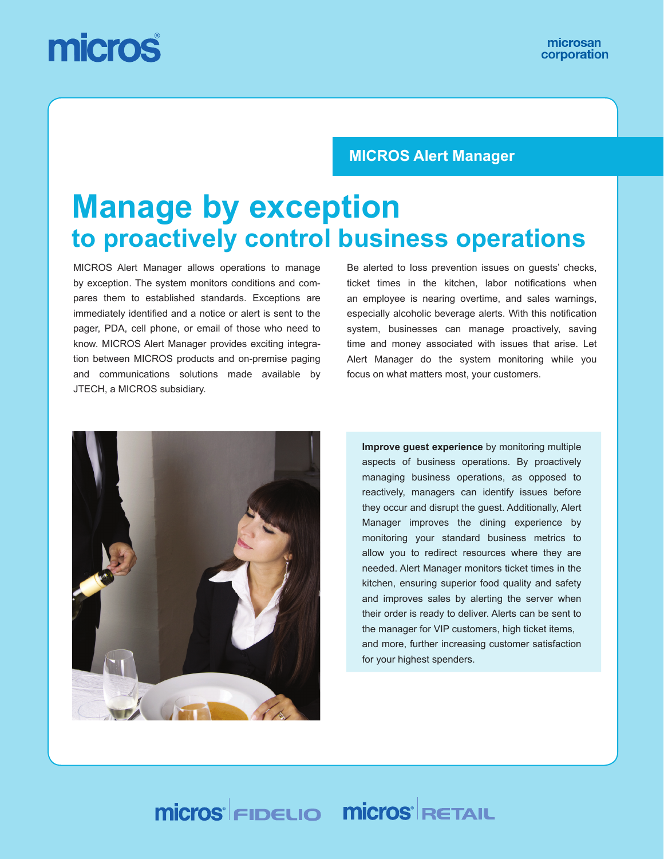# micros

#### **MICROS Alert Manager**

# **Manage by exception to proactively control business operations**

MICROS Alert Manager allows operations to manage by exception. The system monitors conditions and compares them to established standards. Exceptions are immediately identified and a notice or alert is sent to the pager, PDA, cell phone, or email of those who need to know. MICROS Alert Manager provides exciting integration between MICROS products and on-premise paging and communications solutions made available by JTECH, a MICROS subsidiary.

Be alerted to loss prevention issues on guests' checks, ticket times in the kitchen, labor notifications when an employee is nearing overtime, and sales warnings, especially alcoholic beverage alerts. With this notification system, businesses can manage proactively, saving time and money associated with issues that arise. Let Alert Manager do the system monitoring while you focus on what matters most, your customers.



**Improve guest experience** by monitoring multiple aspects of business operations. By proactively managing business operations, as opposed to reactively, managers can identify issues before they occur and disrupt the guest. Additionally, Alert Manager improves the dining experience by monitoring your standard business metrics to allow you to redirect resources where they are needed. Alert Manager monitors ticket times in the kitchen, ensuring superior food quality and safety and improves sales by alerting the server when their order is ready to deliver. Alerts can be sent to the manager for VIP customers, high ticket items, and more, further increasing customer satisfaction for your highest spenders.

# **Micros FIDELIO MICros RETAIL**